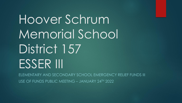Hoover Schrum Memorial School District 157 ESSER III

ELEMENTARY AND SECONDARY SCHOOL EMERGENCY RELIEF FUNDS III USE OF FUNDS PUBLIC MEETING – JANUARY 24TH 2022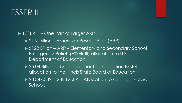## ESSER III

#### ► ESSER III – One Part of Larger ARP

- ▶ \$1.9 Trillion American Rescue Plan (ARP)
- ▶ \$122 Billion ARP Elementary and Secondary School Emergency Relief (ESSER III) allocation to U.S. Department of Education
- ▶ \$5.04 Billion U.S. Department of Education ESSER III allocation to the Illinois State Board of Education
- ▶ \$3,847,039 ISBE ESSER III Allocation to Chicago Public **Schools**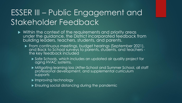# ESSER III – Public Engagement and Stakeholder Feedback

- Within the context of the requirements and priority areas under the guidance, the District incorporated feedback from building leaders, teachers, students, and parents.
	- ▶ From continuous meetings, budget hearings (September 2021), and Back to School surveys to parents, students, and teachers the key feedback included
		- Safe Schools, which includes an updated air quality project for aging HVAC systems.
		- Mitigating learning loss (After-School and Summer School, all staff professional development, and supplemental curriculum supports
		- Improving technology
		- **Ensuring social distancing during the pandemic**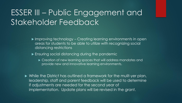# ESSER III – Public Engagement and Stakeholder Feedback

- ▶ Improving technology Creating learning environments in open areas for students to be able to utilize with recognizing social distancing restrictions
- **Ensuring social distancing during the pandemic** 
	- **Creation of new learning spaces that will address mandates and** provide new and innovative learning environments.
- While the District has outlined a framework for the mulit-yer plan, leadership, staff and parent feedback will be used to determine if adjustments are needed for the second year of implementation. Update plans will be revised in the grant.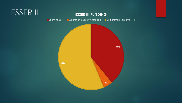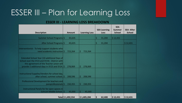### ESSER III – Plan for Learning Loss

#### **ESSER III - LEARNING LOSS BREAKDOWN**

|                                                                                                                                                                                         |         |                   |         |                      |               | <b>SEA Learning</b> | <b>SEA</b><br><b>Summer</b> | <b>SEA-After</b>     |
|-----------------------------------------------------------------------------------------------------------------------------------------------------------------------------------------|---------|-------------------|---------|----------------------|---------------|---------------------|-----------------------------|----------------------|
| <b>Description</b>                                                                                                                                                                      |         | <b>Amount</b>     |         | <b>Learning Loss</b> |               | Loss                | <b>School</b>               | <b>School</b>        |
| Summer School Programs \$                                                                                                                                                               |         | 43,635            |         |                      | \$            | 31,204              | \$12,431                    |                      |
| After School Programs \$                                                                                                                                                                |         | 43,635            |         |                      | \$            | 31,204              |                             | \$12,431             |
| Interventionist - To help support students who<br>need academic instruction \$                                                                                                          |         | 723,264           | \$      | 723,264              |               |                     |                             |                      |
| Extended School Year (10 additional Days of<br>School over the SY23 and SY24) - District with<br>the agreement of the Teacher union will<br>provide 5 additional days in SY23 and SY24. | $\zeta$ | 278,069           | \$      | 278,069              |               |                     |                             |                      |
| Instructional Supplies/Vendors for school day,<br>after school, summer school. \$                                                                                                       |         | 208,596           | \$      | 208,596              |               |                     |                             |                      |
| Professional Development for teachers and<br>paraprofessionals \$                                                                                                                       |         | 150,355           | $\zeta$ | 150,355              |               |                     |                             |                      |
| Instructional Panels for for open spaces in<br>Schrum Middle School. \$                                                                                                                 |         | 45,000            | \$      | 45,000               |               |                     |                             |                      |
|                                                                                                                                                                                         |         | Total \$1,492,554 |         | \$1,405,284          | $\frac{1}{2}$ | 62,408              | \$12,431                    | $\frac{1}{2}$ 12,431 |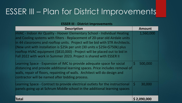# ESSER III – Plan for District Improvements

| <b>ESSER III - District Improvements</b> |  |  |  |
|------------------------------------------|--|--|--|
|------------------------------------------|--|--|--|

| <b>Description</b>                                                                                                                                                                                                                                                                                                                                                                                                                                                           | <b>Amount</b>          |  |  |
|------------------------------------------------------------------------------------------------------------------------------------------------------------------------------------------------------------------------------------------------------------------------------------------------------------------------------------------------------------------------------------------------------------------------------------------------------------------------------|------------------------|--|--|
| HVAC - Indoor Air Quality - Hoover Elementary School - Individual Heating<br>and Cooling systems with filters - Replacement of 20-year old Airdale units<br>in 44 classrooms and rooftop units. Project will be bid with STR Architects.<br>(New unit with installation is \$25k per unit (30 units x \$25k=\$750k) plus<br>rooftop HVAC equipment (\$810,000) - Project will be placed out to bid in<br>Fall 2022 with work in Summer 2023. Project is shared with ESSER II | 1,560,000              |  |  |
| Learning Space - Expansion of IMC to provide adequate space for social<br>distancing and provide additional learning spaces. Price includes removal of<br>walls, repair of floors, repainting of walls. Architect will do design and<br>contractor will be named after bidding process.                                                                                                                                                                                      | IST<br>500,000         |  |  |
| Learning Space - Contract to provide electrical outlets for the instructional<br>panels going up at Schrum Middle school in the additional learning spaces                                                                                                                                                                                                                                                                                                                   | <sup>S</sup><br>30,000 |  |  |
| Total                                                                                                                                                                                                                                                                                                                                                                                                                                                                        | \$2,090,000            |  |  |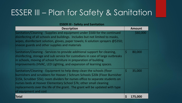# ESSER III – Plan for Safety & Sanitation

| <b>ESSER III - Safety and Sanitation</b>                                                                                                                                                                                                                                                                                                                                                                              |         |               |  |  |
|-----------------------------------------------------------------------------------------------------------------------------------------------------------------------------------------------------------------------------------------------------------------------------------------------------------------------------------------------------------------------------------------------------------------------|---------|---------------|--|--|
| <b>Description</b>                                                                                                                                                                                                                                                                                                                                                                                                    |         | <b>Amount</b> |  |  |
| Sanitation/Cleaning - Supplies and equipment under \$500 for the continued<br>disinfecting of all schools and buildings. Includes but not limited to masks,<br>wipes, disinfectant solution, gloves, paper towels; 6 solution sprayers $@5350;$<br>sneeze guards and other supplies and materials                                                                                                                     |         | \$60,000      |  |  |
| Sanitation/Cleaning - Services to provide additional support for cleaning,<br>disinfecting, storage and sub service for custodians in case of large outbreaks<br>in schools, moving of school furniture in preparation of building<br>improvements (HVAC, LED Lighting, and expansion of learning spaces.                                                                                                             | $\zeta$ | 80,000        |  |  |
| Sanitation/Cleaning - Equipment to help deep clean the schools (floor<br>burnishers and scrubbers for Hoover / Schrum Schools \$20k (Floor Burnisher<br>\$15k, Scrubber \$5k); room dividers for nurses office to separate students on<br>nurses beds at Hoover Elementary School \$7k; other small cleaning<br>replacements over the life of the grant. The grant will be updated with type<br>of equipment and cost | $\zeta$ | 35,000        |  |  |
| Total                                                                                                                                                                                                                                                                                                                                                                                                                 | \$      | 175,000       |  |  |